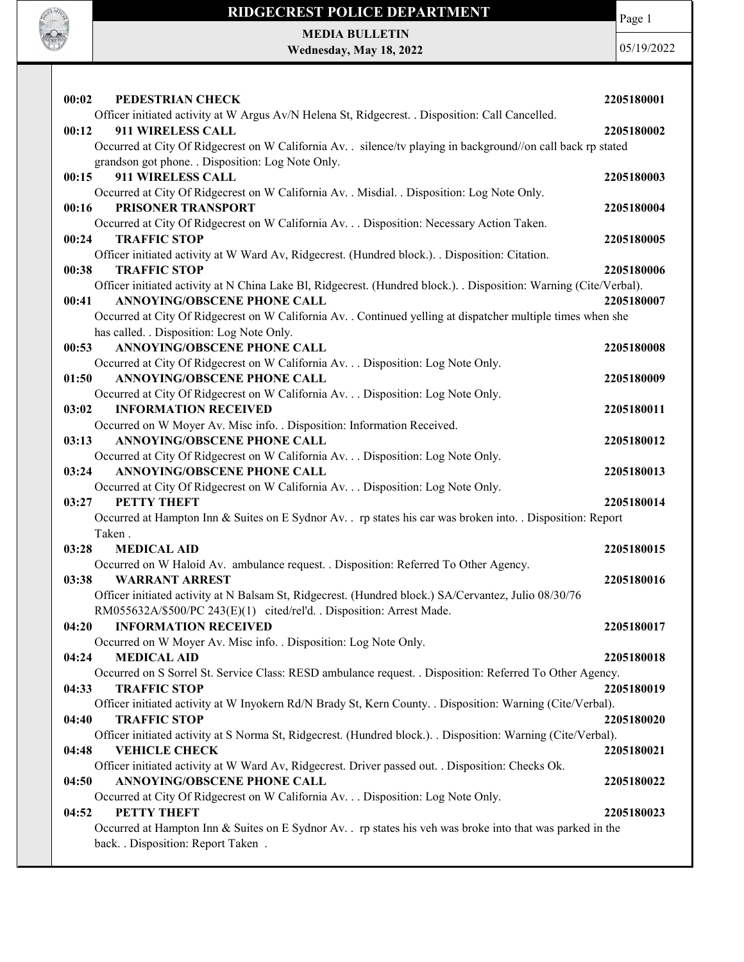

MEDIA BULLETIN Wednesday, May 18, 2022

**ROCK OF THE** 

| 00:02 | PEDESTRIAN CHECK                                                                                                                  | 2205180001 |
|-------|-----------------------------------------------------------------------------------------------------------------------------------|------------|
|       | Officer initiated activity at W Argus Av/N Helena St, Ridgecrest. . Disposition: Call Cancelled.                                  |            |
| 00:12 | 911 WIRELESS CALL                                                                                                                 | 2205180002 |
|       | Occurred at City Of Ridgecrest on W California Av. . silence/tv playing in background//on call back rp stated                     |            |
|       | grandson got phone. . Disposition: Log Note Only.                                                                                 |            |
| 00:15 | 911 WIRELESS CALL                                                                                                                 | 2205180003 |
|       | Occurred at City Of Ridgecrest on W California Av. . Misdial. . Disposition: Log Note Only.                                       |            |
| 00:16 | PRISONER TRANSPORT                                                                                                                | 2205180004 |
|       | Occurred at City Of Ridgecrest on W California Av. Disposition: Necessary Action Taken.                                           |            |
| 00:24 | <b>TRAFFIC STOP</b>                                                                                                               | 2205180005 |
|       | Officer initiated activity at W Ward Av, Ridgecrest. (Hundred block.). . Disposition: Citation.                                   |            |
| 00:38 | <b>TRAFFIC STOP</b>                                                                                                               | 2205180006 |
|       | Officer initiated activity at N China Lake Bl, Ridgecrest. (Hundred block.). . Disposition: Warning (Cite/Verbal).                |            |
| 00:41 | ANNOYING/OBSCENE PHONE CALL                                                                                                       | 2205180007 |
|       | Occurred at City Of Ridgecrest on W California Av. . Continued yelling at dispatcher multiple times when she                      |            |
|       | has called. . Disposition: Log Note Only.                                                                                         |            |
| 00:53 | <b>ANNOYING/OBSCENE PHONE CALL</b>                                                                                                | 2205180008 |
|       | Occurred at City Of Ridgecrest on W California Av. Disposition: Log Note Only.                                                    |            |
| 01:50 | <b>ANNOYING/OBSCENE PHONE CALL</b>                                                                                                | 2205180009 |
|       | Occurred at City Of Ridgecrest on W California Av. Disposition: Log Note Only.                                                    |            |
| 03:02 | <b>INFORMATION RECEIVED</b>                                                                                                       | 2205180011 |
|       | Occurred on W Moyer Av. Misc info. . Disposition: Information Received.                                                           |            |
| 03:13 | <b>ANNOYING/OBSCENE PHONE CALL</b>                                                                                                | 2205180012 |
|       | Occurred at City Of Ridgecrest on W California Av. Disposition: Log Note Only.                                                    |            |
| 03:24 | <b>ANNOYING/OBSCENE PHONE CALL</b>                                                                                                | 2205180013 |
|       | Occurred at City Of Ridgecrest on W California Av. Disposition: Log Note Only.                                                    |            |
| 03:27 | <b>PETTY THEFT</b>                                                                                                                | 2205180014 |
|       | Occurred at Hampton Inn & Suites on E Sydnor Av. . rp states his car was broken into. . Disposition: Report                       |            |
|       | Taken.                                                                                                                            |            |
| 03:28 | <b>MEDICAL AID</b>                                                                                                                | 2205180015 |
|       | Occurred on W Haloid Av. ambulance request. . Disposition: Referred To Other Agency.                                              |            |
| 03:38 | <b>WARRANT ARREST</b>                                                                                                             | 2205180016 |
|       | Officer initiated activity at N Balsam St, Ridgecrest. (Hundred block.) SA/Cervantez, Julio 08/30/76                              |            |
|       | RM055632A/\$500/PC 243(E)(1) cited/rel'd. . Disposition: Arrest Made.                                                             |            |
| 04:20 | <b>INFORMATION RECEIVED</b>                                                                                                       | 2205180017 |
|       | Occurred on W Moyer Av. Misc info. . Disposition: Log Note Only.                                                                  |            |
| 04:24 | <b>MEDICAL AID</b>                                                                                                                | 2205180018 |
|       | Occurred on S Sorrel St. Service Class: RESD ambulance request. . Disposition: Referred To Other Agency.                          |            |
| 04:33 | <b>TRAFFIC STOP</b>                                                                                                               | 2205180019 |
| 04:40 | Officer initiated activity at W Inyokern Rd/N Brady St, Kern County. . Disposition: Warning (Cite/Verbal).<br><b>TRAFFIC STOP</b> | 2205180020 |
|       | Officer initiated activity at S Norma St, Ridgecrest. (Hundred block.). . Disposition: Warning (Cite/Verbal).                     |            |
| 04:48 | <b>VEHICLE CHECK</b>                                                                                                              | 2205180021 |
|       | Officer initiated activity at W Ward Av, Ridgecrest. Driver passed out. . Disposition: Checks Ok.                                 |            |
| 04:50 | ANNOYING/OBSCENE PHONE CALL                                                                                                       | 2205180022 |
|       | Occurred at City Of Ridgecrest on W California Av. Disposition: Log Note Only.                                                    |            |
| 04:52 | PETTY THEFT                                                                                                                       | 2205180023 |
|       | Occurred at Hampton Inn & Suites on E Sydnor Av. . rp states his veh was broke into that was parked in the                        |            |
|       | back. . Disposition: Report Taken .                                                                                               |            |
|       |                                                                                                                                   |            |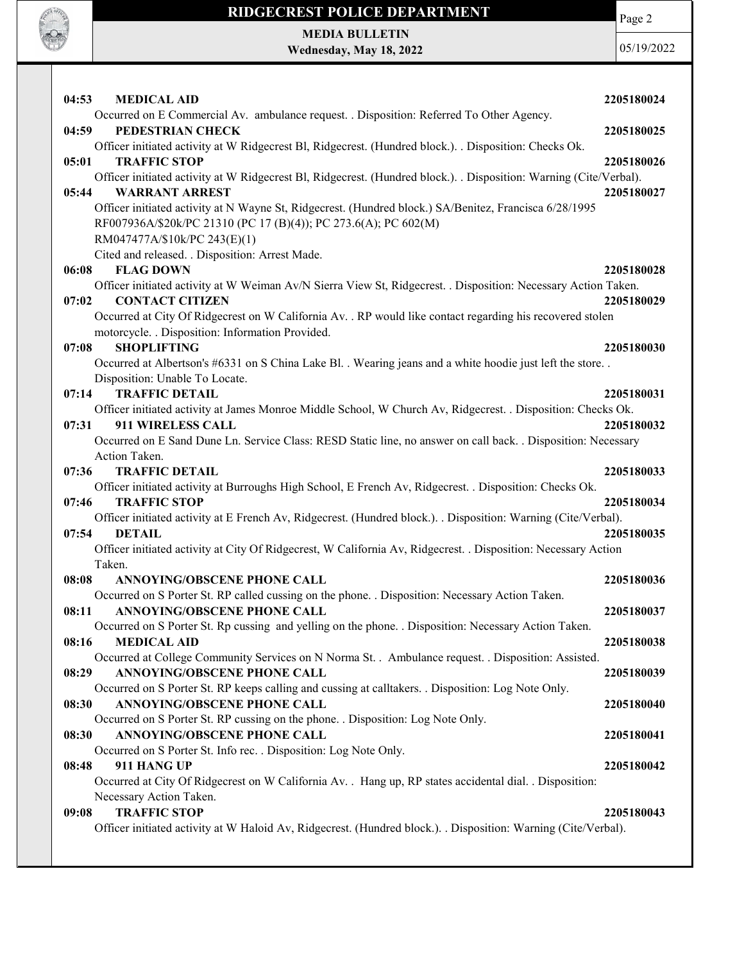

Page 2

MEDIA BULLETIN Wednesday, May 18, 2022

| 04:53<br><b>MEDICAL AID</b>                                                                                                    | 2205180024 |
|--------------------------------------------------------------------------------------------------------------------------------|------------|
| Occurred on E Commercial Av. ambulance request. . Disposition: Referred To Other Agency.                                       |            |
| PEDESTRIAN CHECK<br>04:59                                                                                                      | 2205180025 |
| Officer initiated activity at W Ridgecrest Bl, Ridgecrest. (Hundred block.). . Disposition: Checks Ok.                         |            |
| <b>TRAFFIC STOP</b><br>05:01                                                                                                   | 2205180026 |
| Officer initiated activity at W Ridgecrest Bl, Ridgecrest. (Hundred block.). . Disposition: Warning (Cite/Verbal).             |            |
| <b>WARRANT ARREST</b><br>05:44                                                                                                 | 2205180027 |
| Officer initiated activity at N Wayne St, Ridgecrest. (Hundred block.) SA/Benitez, Francisca 6/28/1995                         |            |
| RF007936A/\$20k/PC 21310 (PC 17 (B)(4)); PC 273.6(A); PC 602(M)<br>RM047477A/\$10k/PC 243(E)(1)                                |            |
| Cited and released. . Disposition: Arrest Made.                                                                                |            |
| <b>FLAG DOWN</b><br>06:08                                                                                                      | 2205180028 |
| Officer initiated activity at W Weiman Av/N Sierra View St, Ridgecrest. . Disposition: Necessary Action Taken.                 |            |
| 07:02<br><b>CONTACT CITIZEN</b>                                                                                                | 2205180029 |
| Occurred at City Of Ridgecrest on W California Av. . RP would like contact regarding his recovered stolen                      |            |
| motorcycle. . Disposition: Information Provided.                                                                               |            |
| 07:08<br><b>SHOPLIFTING</b>                                                                                                    | 2205180030 |
| Occurred at Albertson's #6331 on S China Lake Bl. . Wearing jeans and a white hoodie just left the store. .                    |            |
| Disposition: Unable To Locate.                                                                                                 |            |
| 07:14<br><b>TRAFFIC DETAIL</b>                                                                                                 | 2205180031 |
| Officer initiated activity at James Monroe Middle School, W Church Av, Ridgecrest. . Disposition: Checks Ok.                   |            |
| 911 WIRELESS CALL<br>07:31                                                                                                     | 2205180032 |
| Occurred on E Sand Dune Ln. Service Class: RESD Static line, no answer on call back. . Disposition: Necessary                  |            |
| Action Taken.<br><b>TRAFFIC DETAIL</b>                                                                                         |            |
| 07:36<br>Officer initiated activity at Burroughs High School, E French Av, Ridgecrest. . Disposition: Checks Ok.               | 2205180033 |
| <b>TRAFFIC STOP</b><br>07:46                                                                                                   | 2205180034 |
| Officer initiated activity at E French Av, Ridgecrest. (Hundred block.). . Disposition: Warning (Cite/Verbal).                 |            |
| <b>DETAIL</b><br>07:54                                                                                                         | 2205180035 |
| Officer initiated activity at City Of Ridgecrest, W California Av, Ridgecrest. . Disposition: Necessary Action                 |            |
| Taken.                                                                                                                         |            |
| 08:08<br><b>ANNOYING/OBSCENE PHONE CALL</b>                                                                                    | 2205180036 |
| Occurred on S Porter St. RP called cussing on the phone. . Disposition: Necessary Action Taken.                                |            |
| <b>ANNOYING/OBSCENE PHONE CALL</b><br>08:11                                                                                    | 2205180037 |
| Occurred on S Porter St. Rp cussing and yelling on the phone. Disposition: Necessary Action Taken.                             |            |
| <b>MEDICAL AID</b><br>08:16                                                                                                    | 2205180038 |
| Occurred at College Community Services on N Norma St. . Ambulance request. . Disposition: Assisted.                            |            |
| <b>ANNOYING/OBSCENE PHONE CALL</b><br>08:29                                                                                    | 2205180039 |
| Occurred on S Porter St. RP keeps calling and cussing at calltakers. . Disposition: Log Note Only.                             |            |
| <b>ANNOYING/OBSCENE PHONE CALL</b><br>08:30<br>Occurred on S Porter St. RP cussing on the phone. . Disposition: Log Note Only. | 2205180040 |
| 08:30<br><b>ANNOYING/OBSCENE PHONE CALL</b>                                                                                    | 2205180041 |
| Occurred on S Porter St. Info rec. . Disposition: Log Note Only.                                                               |            |
| 911 HANG UP<br>08:48                                                                                                           | 2205180042 |
| Occurred at City Of Ridgecrest on W California Av. . Hang up, RP states accidental dial. . Disposition:                        |            |
| Necessary Action Taken.                                                                                                        |            |
| <b>TRAFFIC STOP</b><br>09:08                                                                                                   | 2205180043 |
| Officer initiated activity at W Haloid Av, Ridgecrest. (Hundred block.). . Disposition: Warning (Cite/Verbal).                 |            |
|                                                                                                                                |            |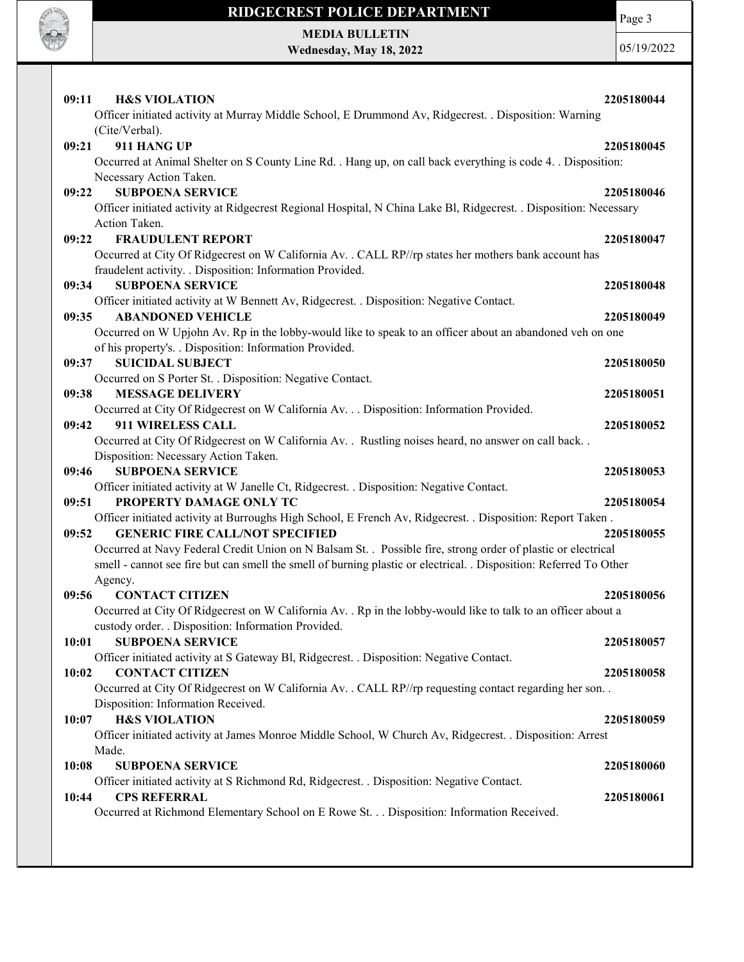

Page 3

MEDIA BULLETIN Wednesday, May 18, 2022

| 09:11<br><b>H&amp;S VIOLATION</b><br>Officer initiated activity at Murray Middle School, E Drummond Av, Ridgecrest. . Disposition: Warning                                                                                                    | 2205180044               |
|-----------------------------------------------------------------------------------------------------------------------------------------------------------------------------------------------------------------------------------------------|--------------------------|
| (Cite/Verbal).<br>911 HANG UP<br>09:21<br>Occurred at Animal Shelter on S County Line Rd. . Hang up, on call back everything is code 4. . Disposition:<br>Necessary Action Taken.                                                             | 2205180045               |
| <b>SUBPOENA SERVICE</b><br>09:22<br>Officer initiated activity at Ridgecrest Regional Hospital, N China Lake Bl, Ridgecrest. . Disposition: Necessary<br>Action Taken.                                                                        | 2205180046               |
| 09:22<br><b>FRAUDULENT REPORT</b><br>Occurred at City Of Ridgecrest on W California Av. . CALL RP//rp states her mothers bank account has<br>fraudelent activity. . Disposition: Information Provided.                                        | 2205180047               |
| 09:34<br><b>SUBPOENA SERVICE</b><br>Officer initiated activity at W Bennett Av, Ridgecrest. . Disposition: Negative Contact.<br>09:35<br><b>ABANDONED VEHICLE</b>                                                                             | 2205180048<br>2205180049 |
| Occurred on W Upjohn Av. Rp in the lobby-would like to speak to an officer about an abandoned veh on one<br>of his property's. . Disposition: Information Provided.                                                                           |                          |
| <b>SUICIDAL SUBJECT</b><br>09:37<br>Occurred on S Porter St. . Disposition: Negative Contact.<br>09:38<br><b>MESSAGE DELIVERY</b>                                                                                                             | 2205180050<br>2205180051 |
| Occurred at City Of Ridgecrest on W California Av. Disposition: Information Provided.<br>911 WIRELESS CALL<br>09:42<br>Occurred at City Of Ridgecrest on W California Av. . Rustling noises heard, no answer on call back. .                  | 2205180052               |
| Disposition: Necessary Action Taken.<br><b>SUBPOENA SERVICE</b><br>09:46<br>Officer initiated activity at W Janelle Ct, Ridgecrest. . Disposition: Negative Contact.                                                                          | 2205180053               |
| PROPERTY DAMAGE ONLY TC<br>09:51<br>Officer initiated activity at Burroughs High School, E French Av, Ridgecrest. . Disposition: Report Taken.<br>09:52<br><b>GENERIC FIRE CALL/NOT SPECIFIED</b>                                             | 2205180054<br>2205180055 |
| Occurred at Navy Federal Credit Union on N Balsam St. . Possible fire, strong order of plastic or electrical<br>smell - cannot see fire but can smell the smell of burning plastic or electrical. . Disposition: Referred To Other<br>Agency. |                          |
| 09:56<br><b>CONTACT CITIZEN</b><br>Occurred at City Of Ridgecrest on W California Av. . Rp in the lobby-would like to talk to an officer about a<br>custody order. . Disposition: Information Provided.                                       | 2205180056               |
| <b>SUBPOENA SERVICE</b><br>10:01<br>Officer initiated activity at S Gateway Bl, Ridgecrest. . Disposition: Negative Contact.<br><b>CONTACT CITIZEN</b><br>10:02                                                                               | 2205180057<br>2205180058 |
| Occurred at City Of Ridgecrest on W California Av. . CALL RP//rp requesting contact regarding her son. .<br>Disposition: Information Received.                                                                                                |                          |
| <b>H&amp;S VIOLATION</b><br>10:07<br>Officer initiated activity at James Monroe Middle School, W Church Av, Ridgecrest. . Disposition: Arrest<br>Made.                                                                                        | 2205180059               |
| <b>SUBPOENA SERVICE</b><br>10:08<br>Officer initiated activity at S Richmond Rd, Ridgecrest. . Disposition: Negative Contact.<br><b>CPS REFERRAL</b><br>10:44                                                                                 | 2205180060<br>2205180061 |
| Occurred at Richmond Elementary School on E Rowe St. Disposition: Information Received.                                                                                                                                                       |                          |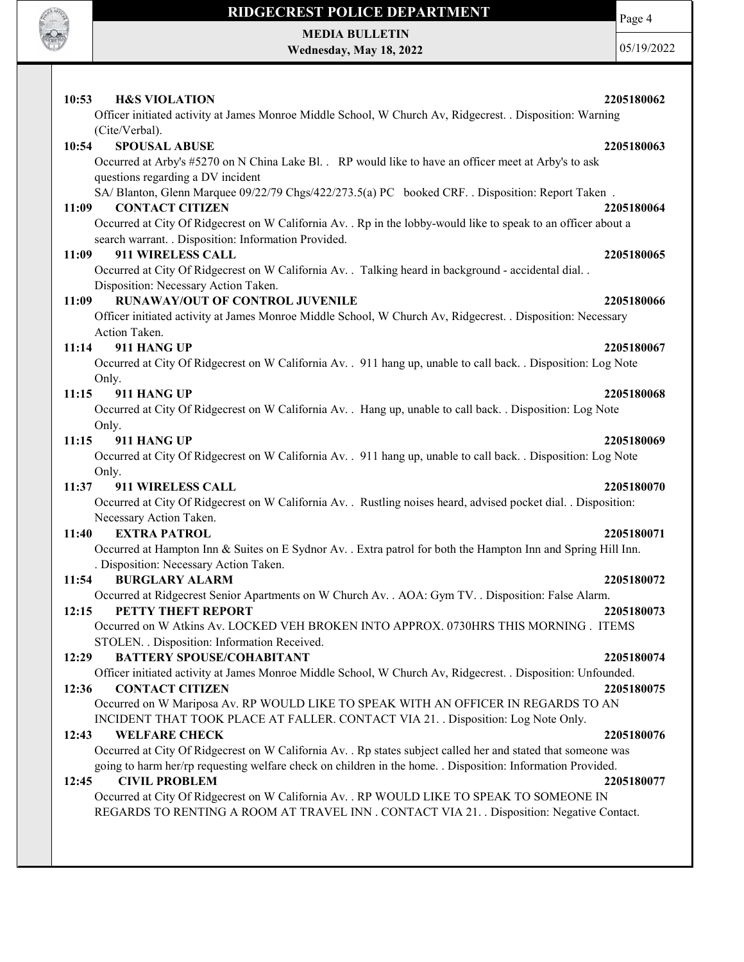

MEDIA BULLETIN Wednesday, May 18, 2022 Page 4

| 10:53<br><b>H&amp;S VIOLATION</b>                                                                                           | 2205180062 |
|-----------------------------------------------------------------------------------------------------------------------------|------------|
| Officer initiated activity at James Monroe Middle School, W Church Av, Ridgecrest. . Disposition: Warning<br>(Cite/Verbal). |            |
| 10:54<br><b>SPOUSAL ABUSE</b>                                                                                               | 2205180063 |
| Occurred at Arby's #5270 on N China Lake Bl. . RP would like to have an officer meet at Arby's to ask                       |            |
| questions regarding a DV incident                                                                                           |            |
| SA/Blanton, Glenn Marquee 09/22/79 Chgs/422/273.5(a) PC booked CRF. . Disposition: Report Taken.                            |            |
| 11:09<br><b>CONTACT CITIZEN</b>                                                                                             | 2205180064 |
| Occurred at City Of Ridgecrest on W California Av. . Rp in the lobby-would like to speak to an officer about a              |            |
| search warrant. . Disposition: Information Provided.                                                                        |            |
| 911 WIRELESS CALL<br>11:09                                                                                                  | 2205180065 |
| Occurred at City Of Ridgecrest on W California Av. . Talking heard in background - accidental dial. .                       |            |
| Disposition: Necessary Action Taken.                                                                                        |            |
| RUNAWAY/OUT OF CONTROL JUVENILE<br>11:09                                                                                    | 2205180066 |
| Officer initiated activity at James Monroe Middle School, W Church Av, Ridgecrest. . Disposition: Necessary                 |            |
| Action Taken.                                                                                                               |            |
| 911 HANG UP<br>11:14                                                                                                        | 2205180067 |
| Occurred at City Of Ridgecrest on W California Av. . 911 hang up, unable to call back. . Disposition: Log Note              |            |
| Only.                                                                                                                       |            |
| 911 HANG UP<br>11:15                                                                                                        | 2205180068 |
| Occurred at City Of Ridgecrest on W California Av. . Hang up, unable to call back. . Disposition: Log Note                  |            |
| Only.                                                                                                                       |            |
| 11:15<br>911 HANG UP                                                                                                        | 2205180069 |
| Occurred at City Of Ridgecrest on W California Av. . 911 hang up, unable to call back. . Disposition: Log Note              |            |
| Only.                                                                                                                       |            |
| 11:37<br>911 WIRELESS CALL                                                                                                  | 2205180070 |
| Occurred at City Of Ridgecrest on W California Av. . Rustling noises heard, advised pocket dial. . Disposition:             |            |
| Necessary Action Taken.                                                                                                     |            |
| <b>EXTRA PATROL</b><br>11:40                                                                                                | 2205180071 |
| Occurred at Hampton Inn & Suites on E Sydnor Av. . Extra patrol for both the Hampton Inn and Spring Hill Inn.               |            |
| . Disposition: Necessary Action Taken.                                                                                      |            |
| <b>BURGLARY ALARM</b><br>11:54                                                                                              | 2205180072 |
| Occurred at Ridgecrest Senior Apartments on W Church Av. . AOA: Gym TV. . Disposition: False Alarm.                         |            |
| 12:15<br>PETTY THEFT REPORT                                                                                                 | 2205180073 |
| Occurred on W Atkins Av. LOCKED VEH BROKEN INTO APPROX. 0730HRS THIS MORNING . ITEMS                                        |            |
| STOLEN. . Disposition: Information Received.                                                                                |            |
| <b>BATTERY SPOUSE/COHABITANT</b><br>12:29                                                                                   | 2205180074 |
| Officer initiated activity at James Monroe Middle School, W Church Av, Ridgecrest. . Disposition: Unfounded.                |            |
| <b>CONTACT CITIZEN</b><br>12:36                                                                                             | 2205180075 |
| Occurred on W Mariposa Av. RP WOULD LIKE TO SPEAK WITH AN OFFICER IN REGARDS TO AN                                          |            |
| INCIDENT THAT TOOK PLACE AT FALLER. CONTACT VIA 21. . Disposition: Log Note Only.                                           |            |
| 12:43<br><b>WELFARE CHECK</b>                                                                                               | 2205180076 |
| Occurred at City Of Ridgecrest on W California Av. . Rp states subject called her and stated that someone was               |            |
| going to harm her/rp requesting welfare check on children in the home. . Disposition: Information Provided.                 |            |
| 12:45<br><b>CIVIL PROBLEM</b>                                                                                               | 2205180077 |
| Occurred at City Of Ridgecrest on W California Av. . RP WOULD LIKE TO SPEAK TO SOMEONE IN                                   |            |
| REGARDS TO RENTING A ROOM AT TRAVEL INN . CONTACT VIA 21. . Disposition: Negative Contact.                                  |            |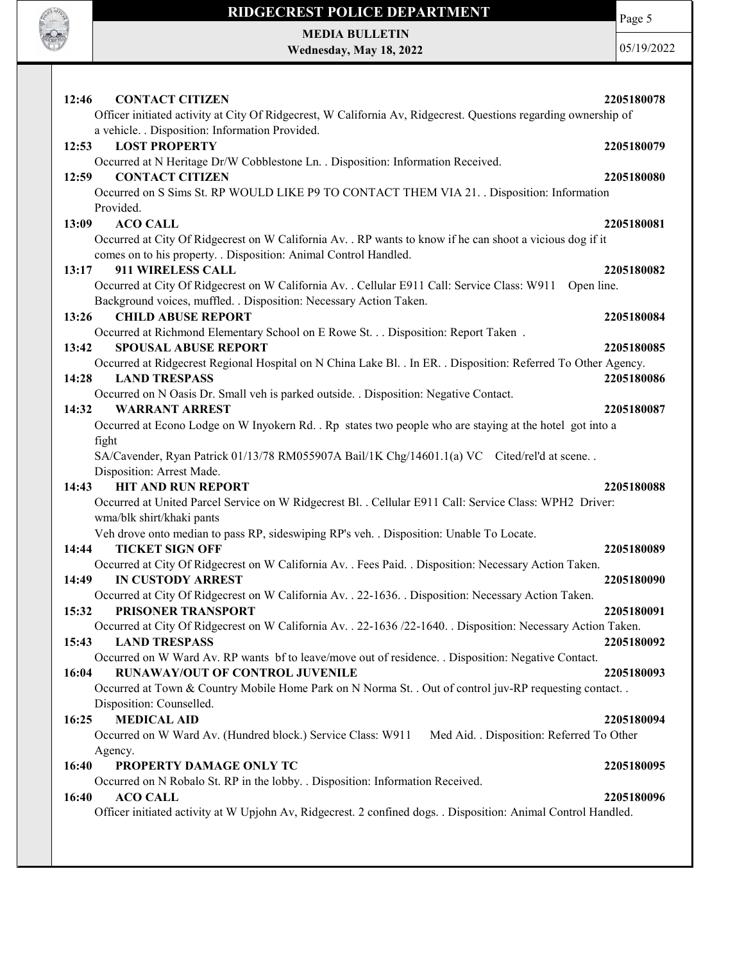

Page 5

MEDIA BULLETIN Wednesday, May 18, 2022

| 12:46<br><b>CONTACT CITIZEN</b>                                                                                       | 2205180078 |
|-----------------------------------------------------------------------------------------------------------------------|------------|
| Officer initiated activity at City Of Ridgecrest, W California Av, Ridgecrest. Questions regarding ownership of       |            |
| a vehicle. . Disposition: Information Provided.                                                                       |            |
| 12:53<br><b>LOST PROPERTY</b>                                                                                         | 2205180079 |
| Occurred at N Heritage Dr/W Cobblestone Ln. . Disposition: Information Received.<br><b>CONTACT CITIZEN</b>            |            |
| 12:59<br>Occurred on S Sims St. RP WOULD LIKE P9 TO CONTACT THEM VIA 21. Disposition: Information                     | 2205180080 |
| Provided.                                                                                                             |            |
| 13:09<br><b>ACO CALL</b>                                                                                              | 2205180081 |
| Occurred at City Of Ridgecrest on W California Av. . RP wants to know if he can shoot a vicious dog if it             |            |
| comes on to his property. . Disposition: Animal Control Handled.                                                      |            |
| 911 WIRELESS CALL<br>13:17                                                                                            | 2205180082 |
| Occurred at City Of Ridgecrest on W California Av. . Cellular E911 Call: Service Class: W911<br>Open line.            |            |
| Background voices, muffled. . Disposition: Necessary Action Taken.                                                    |            |
| <b>CHILD ABUSE REPORT</b><br>13:26                                                                                    | 2205180084 |
| Occurred at Richmond Elementary School on E Rowe St. Disposition: Report Taken .                                      |            |
| 13:42<br><b>SPOUSAL ABUSE REPORT</b>                                                                                  | 2205180085 |
| Occurred at Ridgecrest Regional Hospital on N China Lake Bl. . In ER. . Disposition: Referred To Other Agency.        |            |
| 14:28<br><b>LAND TRESPASS</b>                                                                                         | 2205180086 |
| Occurred on N Oasis Dr. Small veh is parked outside. . Disposition: Negative Contact.                                 |            |
| 14:32<br><b>WARRANT ARREST</b>                                                                                        | 2205180087 |
| Occurred at Econo Lodge on W Inyokern Rd. . Rp states two people who are staying at the hotel got into a              |            |
| fight                                                                                                                 |            |
| SA/Cavender, Ryan Patrick 01/13/78 RM055907A Bail/1K Chg/14601.1(a) VC Cited/rel'd at scene                           |            |
| Disposition: Arrest Made.                                                                                             |            |
| <b>HIT AND RUN REPORT</b><br>14:43                                                                                    | 2205180088 |
| Occurred at United Parcel Service on W Ridgecrest Bl. . Cellular E911 Call: Service Class: WPH2 Driver:               |            |
| wma/blk shirt/khaki pants<br>Veh drove onto median to pass RP, sideswiping RP's veh. . Disposition: Unable To Locate. |            |
| <b>TICKET SIGN OFF</b><br>14:44                                                                                       | 2205180089 |
| Occurred at City Of Ridgecrest on W California Av. . Fees Paid. . Disposition: Necessary Action Taken.                |            |
| <b>IN CUSTODY ARREST</b><br>14:49                                                                                     | 2205180090 |
| Occurred at City Of Ridgecrest on W California Av. . 22-1636. . Disposition: Necessary Action Taken.                  |            |
| PRISONER TRANSPORT<br>15:32                                                                                           | 2205180091 |
| Occurred at City Of Ridgecrest on W California Av. . 22-1636 /22-1640. . Disposition: Necessary Action Taken.         |            |
| <b>LAND TRESPASS</b><br>15:43                                                                                         | 2205180092 |
| Occurred on W Ward Av. RP wants bf to leave/move out of residence. . Disposition: Negative Contact.                   |            |
| RUNAWAY/OUT OF CONTROL JUVENILE<br>16:04                                                                              | 2205180093 |
| Occurred at Town & Country Mobile Home Park on N Norma St. . Out of control juv-RP requesting contact. .              |            |
| Disposition: Counselled.                                                                                              |            |
| <b>MEDICAL AID</b><br>16:25                                                                                           | 2205180094 |
| Occurred on W Ward Av. (Hundred block.) Service Class: W911<br>Med Aid. . Disposition: Referred To Other              |            |
| Agency.                                                                                                               |            |
| 16:40<br>PROPERTY DAMAGE ONLY TC                                                                                      | 2205180095 |
| Occurred on N Robalo St. RP in the lobby. . Disposition: Information Received.                                        |            |
| <b>ACO CALL</b><br>16:40                                                                                              | 2205180096 |
| Officer initiated activity at W Upjohn Av, Ridgecrest. 2 confined dogs. . Disposition: Animal Control Handled.        |            |
|                                                                                                                       |            |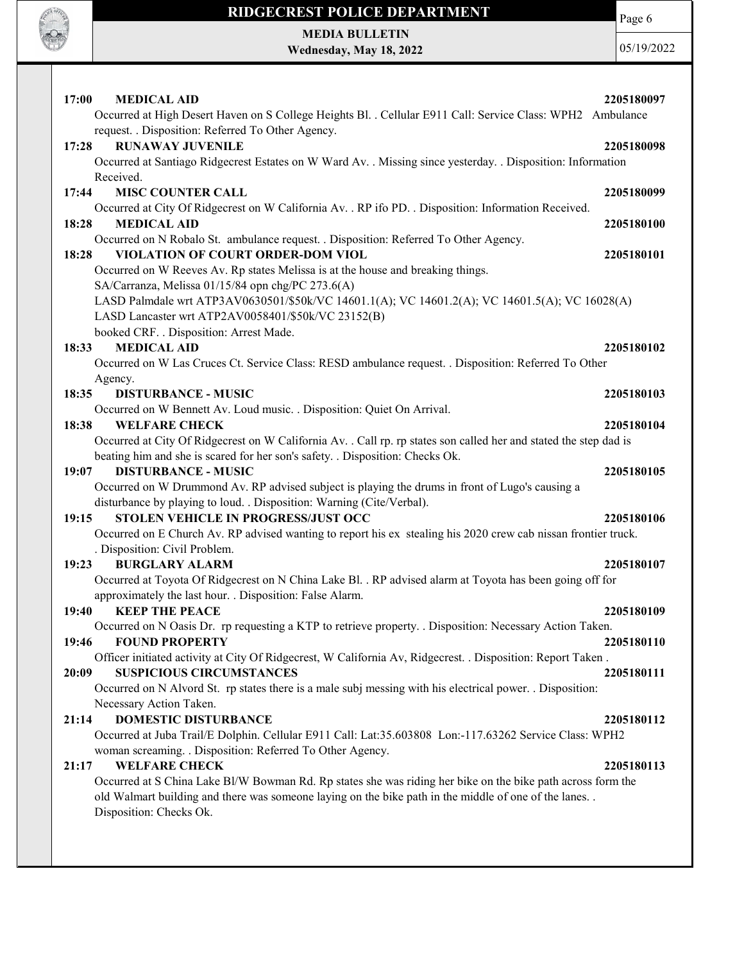

MEDIA BULLETIN Wednesday, May 18, 2022 Page 6

| 17:00 | <b>MEDICAL AID</b>                                                                                                                              | 2205180097 |
|-------|-------------------------------------------------------------------------------------------------------------------------------------------------|------------|
|       | Occurred at High Desert Haven on S College Heights Bl. . Cellular E911 Call: Service Class: WPH2 Ambulance                                      |            |
| 17:28 | request. . Disposition: Referred To Other Agency.<br><b>RUNAWAY JUVENILE</b>                                                                    |            |
|       | Occurred at Santiago Ridgecrest Estates on W Ward Av. . Missing since yesterday. . Disposition: Information                                     | 2205180098 |
|       | Received.                                                                                                                                       |            |
| 17:44 | <b>MISC COUNTER CALL</b>                                                                                                                        | 2205180099 |
|       | Occurred at City Of Ridgecrest on W California Av. . RP ifo PD. . Disposition: Information Received.                                            |            |
| 18:28 | <b>MEDICAL AID</b>                                                                                                                              | 2205180100 |
|       | Occurred on N Robalo St. ambulance request. . Disposition: Referred To Other Agency.                                                            |            |
| 18:28 | VIOLATION OF COURT ORDER-DOM VIOL                                                                                                               | 2205180101 |
|       | Occurred on W Reeves Av. Rp states Melissa is at the house and breaking things.<br>SA/Carranza, Melissa 01/15/84 opn chg/PC 273.6(A)            |            |
|       | LASD Palmdale wrt ATP3AV0630501/\$50k/VC 14601.1(A); VC 14601.2(A); VC 14601.5(A); VC 16028(A)                                                  |            |
|       | LASD Lancaster wrt ATP2AV0058401/\$50k/VC 23152(B)                                                                                              |            |
|       | booked CRF. . Disposition: Arrest Made.                                                                                                         |            |
| 18:33 | <b>MEDICAL AID</b>                                                                                                                              | 2205180102 |
|       | Occurred on W Las Cruces Ct. Service Class: RESD ambulance request. . Disposition: Referred To Other                                            |            |
|       | Agency.                                                                                                                                         |            |
| 18:35 | <b>DISTURBANCE - MUSIC</b><br>Occurred on W Bennett Av. Loud music. . Disposition: Quiet On Arrival.                                            | 2205180103 |
| 18:38 | <b>WELFARE CHECK</b>                                                                                                                            | 2205180104 |
|       | Occurred at City Of Ridgecrest on W California Av. . Call rp. rp states son called her and stated the step dad is                               |            |
|       | beating him and she is scared for her son's safety. . Disposition: Checks Ok.                                                                   |            |
| 19:07 | <b>DISTURBANCE - MUSIC</b>                                                                                                                      | 2205180105 |
|       | Occurred on W Drummond Av. RP advised subject is playing the drums in front of Lugo's causing a                                                 |            |
|       | disturbance by playing to loud. . Disposition: Warning (Cite/Verbal).                                                                           |            |
| 19:15 | STOLEN VEHICLE IN PROGRESS/JUST OCC                                                                                                             | 2205180106 |
|       | Occurred on E Church Av. RP advised wanting to report his ex stealing his 2020 crew cab nissan frontier truck.<br>. Disposition: Civil Problem. |            |
| 19:23 | <b>BURGLARY ALARM</b>                                                                                                                           | 2205180107 |
|       | Occurred at Toyota Of Ridgecrest on N China Lake Bl. . RP advised alarm at Toyota has been going off for                                        |            |
|       | approximately the last hour. . Disposition: False Alarm.                                                                                        |            |
| 19:40 | <b>KEEP THE PEACE</b>                                                                                                                           | 2205180109 |
|       | Occurred on N Oasis Dr. rp requesting a KTP to retrieve property. . Disposition: Necessary Action Taken                                         |            |
| 19:46 | <b>FOUND PROPERTY</b>                                                                                                                           | 2205180110 |
|       | Officer initiated activity at City Of Ridgecrest, W California Av, Ridgecrest. . Disposition: Report Taken.<br><b>SUSPICIOUS CIRCUMSTANCES</b>  |            |
| 20:09 | Occurred on N Alvord St. rp states there is a male subj messing with his electrical power. . Disposition:                                       | 2205180111 |
|       | Necessary Action Taken.                                                                                                                         |            |
| 21:14 | <b>DOMESTIC DISTURBANCE</b>                                                                                                                     | 2205180112 |
|       | Occurred at Juba Trail/E Dolphin. Cellular E911 Call: Lat:35.603808 Lon:-117.63262 Service Class: WPH2                                          |            |
|       | woman screaming. . Disposition: Referred To Other Agency.                                                                                       |            |
| 21:17 | <b>WELFARE CHECK</b>                                                                                                                            | 2205180113 |
|       | Occurred at S China Lake Bl/W Bowman Rd. Rp states she was riding her bike on the bike path across form the                                     |            |
|       | old Walmart building and there was someone laying on the bike path in the middle of one of the lanes<br>Disposition: Checks Ok.                 |            |
|       |                                                                                                                                                 |            |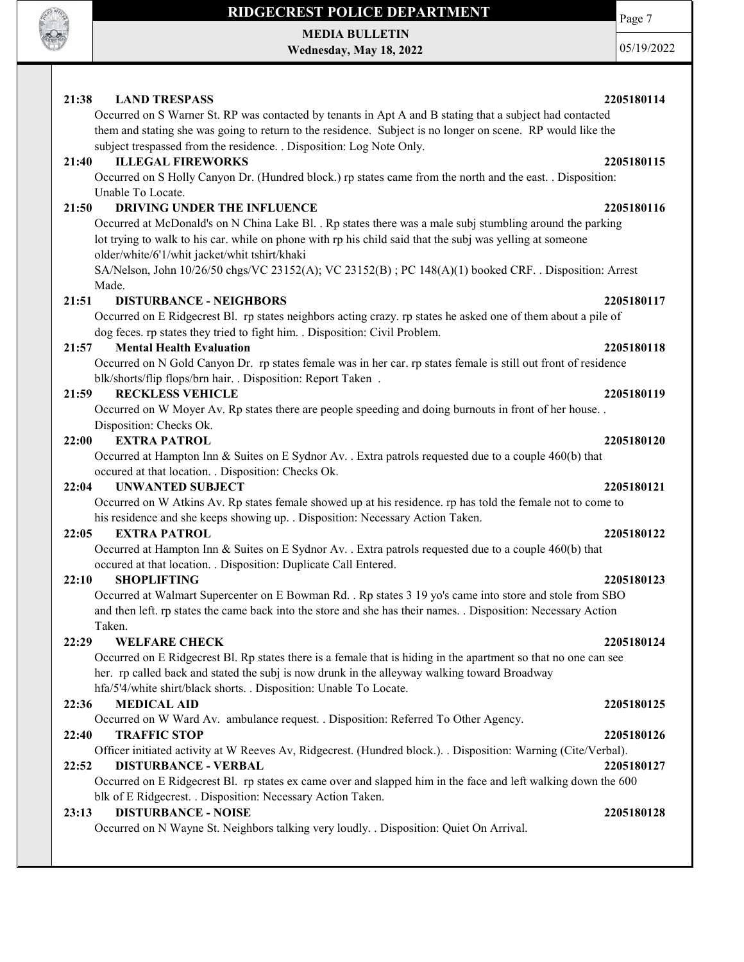

MEDIA BULLETIN Wednesday, May 18, 2022 Page 7

05/19/2022

### 21:38 LAND TRESPASS 2205180114 Occurred on S Warner St. RP was contacted by tenants in Apt A and B stating that a subject had contacted them and stating she was going to return to the residence. Subject is no longer on scene. RP would like the subject trespassed from the residence. . Disposition: Log Note Only. 21:40 ILLEGAL FIREWORKS 2205180115 Occurred on S Holly Canyon Dr. (Hundred block.) rp states came from the north and the east. . Disposition: Unable To Locate. 21:50 DRIVING UNDER THE INFLUENCE 2205180116 Occurred at McDonald's on N China Lake Bl. . Rp states there was a male subj stumbling around the parking lot trying to walk to his car. while on phone with rp his child said that the subj was yelling at someone older/white/6'1/whit jacket/whit tshirt/khaki SA/Nelson, John 10/26/50 chgs/VC 23152(A); VC 23152(B) ; PC 148(A)(1) booked CRF. . Disposition: Arrest Made. 21:51 DISTURBANCE - NEIGHBORS 2205180117 Occurred on E Ridgecrest Bl. rp states neighbors acting crazy. rp states he asked one of them about a pile of dog feces. rp states they tried to fight him. . Disposition: Civil Problem. 21:57 Mental Health Evaluation 2205180118 Occurred on N Gold Canyon Dr. rp states female was in her car. rp states female is still out front of residence blk/shorts/flip flops/brn hair. . Disposition: Report Taken . 21:59 RECKLESS VEHICLE 2205180119 Occurred on W Moyer Av. Rp states there are people speeding and doing burnouts in front of her house. . Disposition: Checks Ok. 22:00 EXTRA PATROL 2205180120 Occurred at Hampton Inn & Suites on E Sydnor Av. . Extra patrols requested due to a couple 460(b) that occured at that location. . Disposition: Checks Ok. 22:04 UNWANTED SUBJECT 2205180121 Occurred on W Atkins Av. Rp states female showed up at his residence. rp has told the female not to come to his residence and she keeps showing up. . Disposition: Necessary Action Taken. 22:05 EXTRA PATROL 2205180122 Occurred at Hampton Inn & Suites on E Sydnor Av. . Extra patrols requested due to a couple 460(b) that occured at that location. . Disposition: Duplicate Call Entered. 22:10 SHOPLIFTING 2205180123 Occurred at Walmart Supercenter on E Bowman Rd. . Rp states 3 19 yo's came into store and stole from SBO and then left. rp states the came back into the store and she has their names. . Disposition: Necessary Action Taken. 22:29 WELFARE CHECK 2205180124 Occurred on E Ridgecrest Bl. Rp states there is a female that is hiding in the apartment so that no one can see her. rp called back and stated the subj is now drunk in the alleyway walking toward Broadway hfa/5'4/white shirt/black shorts. . Disposition: Unable To Locate. 22:36 MEDICAL AID 2205180125 Occurred on W Ward Av. ambulance request. . Disposition: Referred To Other Agency. 22:40 TRAFFIC STOP 2205180126 Officer initiated activity at W Reeves Av, Ridgecrest. (Hundred block.). . Disposition: Warning (Cite/Verbal). 22:52 DISTURBANCE - VERBAL 2205180127 Occurred on E Ridgecrest Bl. rp states ex came over and slapped him in the face and left walking down the 600 blk of E Ridgecrest. . Disposition: Necessary Action Taken. 23:13 DISTURBANCE - NOISE 2205180128 Occurred on N Wayne St. Neighbors talking very loudly. . Disposition: Quiet On Arrival.